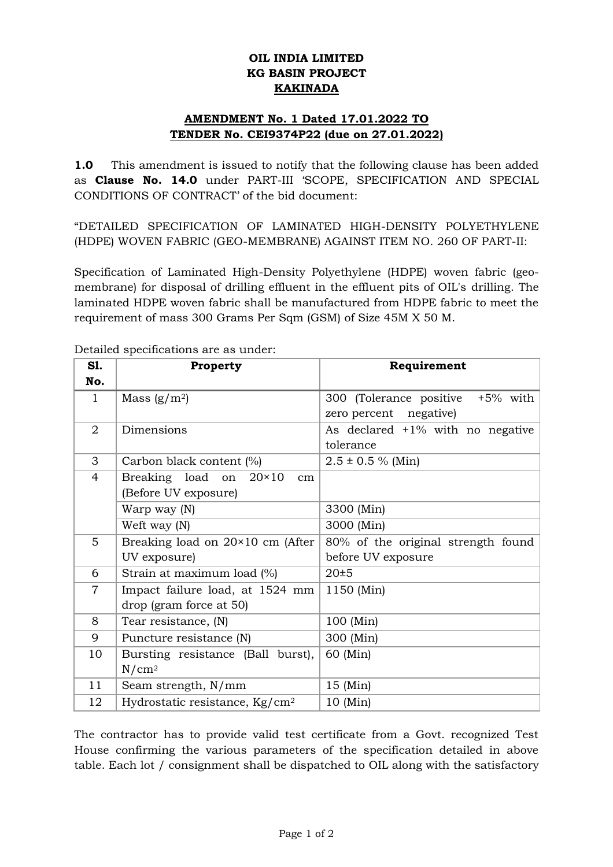## **OIL INDIA LIMITED KG BASIN PROJECT KAKINADA**

## **AMENDMENT No. 1 Dated 17.01.2022 TO TENDER No. CEI9374P22 (due on 27.01.2022)**

**1.0** This amendment is issued to notify that the following clause has been added as **Clause No. 14.0** under PART-III 'SCOPE, SPECIFICATION AND SPECIAL CONDITIONS OF CONTRACT' of the bid document:

"DETAILED SPECIFICATION OF LAMINATED HIGH-DENSITY POLYETHYLENE (HDPE) WOVEN FABRIC (GEO-MEMBRANE) AGAINST ITEM NO. 260 OF PART-II:

Specification of Laminated High-Density Polyethylene (HDPE) woven fabric (geomembrane) for disposal of drilling effluent in the effluent pits of OIL's drilling. The laminated HDPE woven fabric shall be manufactured from HDPE fabric to meet the requirement of mass 300 Grams Per Sqm (GSM) of Size 45M X 50 M.

| S1.            | Property                                  | Requirement                         |
|----------------|-------------------------------------------|-------------------------------------|
| No.            |                                           |                                     |
| $\mathbf{1}$   | Mass $(g/m^2)$                            | 300 (Tolerance positive +5% with    |
|                |                                           | zero percent negative)              |
| 2              | Dimensions                                | As declared $+1\%$ with no negative |
|                |                                           | tolerance                           |
| 3              | Carbon black content (%)                  | $2.5 \pm 0.5$ % (Min)               |
| $\overline{4}$ | Breaking load on<br>$20\times10$<br>cm    |                                     |
|                | (Before UV exposure)                      |                                     |
|                | Warp way (N)                              | 3300 (Min)                          |
|                | Weft way (N)                              | 3000 (Min)                          |
| 5              | Breaking load on $20 \times 10$ cm (After | 80% of the original strength found  |
|                | UV exposure)                              | before UV exposure                  |
| 6              | Strain at maximum load (%)                | 20±5                                |
| $\overline{7}$ | Impact failure load, at 1524 mm           | 1150 (Min)                          |
|                | drop (gram force at 50)                   |                                     |
| 8              | Tear resistance, (N)                      | 100 (Min)                           |
| 9              | Puncture resistance (N)                   | 300 (Min)                           |
| 10             | Bursting resistance (Ball burst),         | 60 (Min)                            |
|                | $N/cm^2$                                  |                                     |
| 11             | Seam strength, N/mm                       | $15 \ (Min)$                        |
| 12             | Hydrostatic resistance, $\text{Kg/cm}^2$  | $10 \ (Min)$                        |

Detailed specifications are as under:

The contractor has to provide valid test certificate from a Govt. recognized Test House confirming the various parameters of the specification detailed in above table. Each lot / consignment shall be dispatched to OIL along with the satisfactory